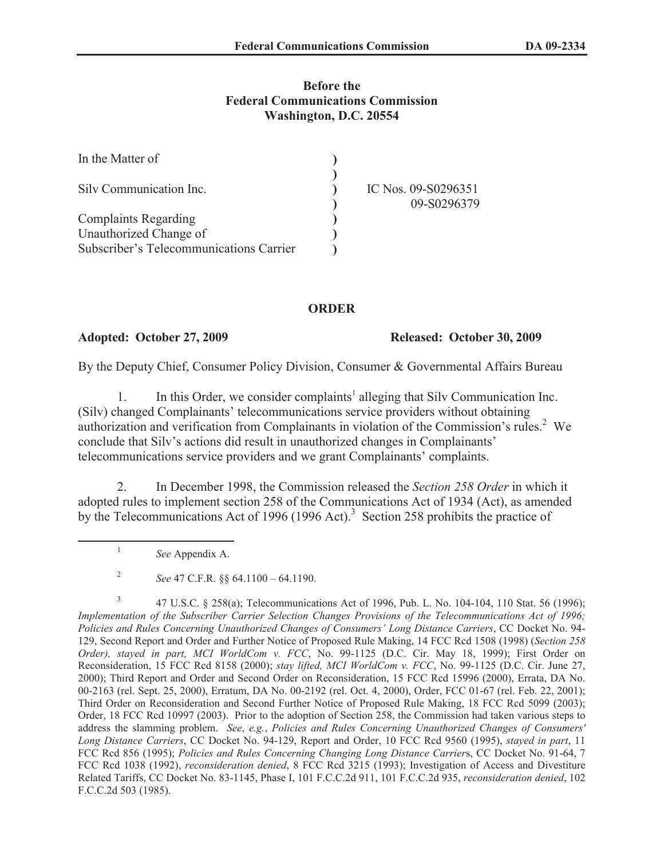## **Before the Federal Communications Commission Washington, D.C. 20554**

| In the Matter of                        |                     |
|-----------------------------------------|---------------------|
| Silv Communication Inc.                 | IC Nos. 09-S0296351 |
|                                         | 09-S0296379         |
| <b>Complaints Regarding</b>             |                     |
| Unauthorized Change of                  |                     |
| Subscriber's Telecommunications Carrier |                     |

## **ORDER**

**Adopted: October 27, 2009 Released: October 30, 2009**

By the Deputy Chief, Consumer Policy Division, Consumer & Governmental Affairs Bureau

1. In this Order, we consider complaints<sup>1</sup> alleging that Silv Communication Inc. (Silv) changed Complainants' telecommunications service providers without obtaining authorization and verification from Complainants in violation of the Commission's rules.<sup>2</sup> We conclude that Silv's actions did result in unauthorized changes in Complainants' telecommunications service providers and we grant Complainants' complaints.

2. In December 1998, the Commission released the *Section 258 Order* in which it adopted rules to implement section 258 of the Communications Act of 1934 (Act), as amended by the Telecommunications Act of 1996 (1996 Act).<sup>3</sup> Section 258 prohibits the practice of

*See* Appendix A.

1

<sup>2</sup> *See* 47 C.F.R. §§ 64.1100 – 64.1190.

<sup>3</sup> 47 U.S.C. § 258(a); Telecommunications Act of 1996, Pub. L. No. 104-104, 110 Stat. 56 (1996); *Implementation of the Subscriber Carrier Selection Changes Provisions of the Telecommunications Act of 1996; Policies and Rules Concerning Unauthorized Changes of Consumers' Long Distance Carriers*, CC Docket No. 94- 129, Second Report and Order and Further Notice of Proposed Rule Making, 14 FCC Rcd 1508 (1998) (*Section 258 Order), stayed in part, MCI WorldCom v. FCC*, No. 99-1125 (D.C. Cir. May 18, 1999); First Order on Reconsideration, 15 FCC Rcd 8158 (2000); *stay lifted, MCI WorldCom v. FCC*, No. 99-1125 (D.C. Cir. June 27, 2000); Third Report and Order and Second Order on Reconsideration, 15 FCC Rcd 15996 (2000), Errata, DA No. 00-2163 (rel. Sept. 25, 2000), Erratum, DA No. 00-2192 (rel. Oct. 4, 2000), Order, FCC 01-67 (rel. Feb. 22, 2001); Third Order on Reconsideration and Second Further Notice of Proposed Rule Making, 18 FCC Rcd 5099 (2003); Order, 18 FCC Rcd 10997 (2003). Prior to the adoption of Section 258, the Commission had taken various steps to address the slamming problem. *See*, *e.g.*, *Policies and Rules Concerning Unauthorized Changes of Consumers' Long Distance Carriers*, CC Docket No. 94-129, Report and Order, 10 FCC Rcd 9560 (1995), *stayed in part*, 11 FCC Rcd 856 (1995); *Policies and Rules Concerning Changing Long Distance Carrier*s, CC Docket No. 91-64, 7 FCC Rcd 1038 (1992), *reconsideration denied*, 8 FCC Rcd 3215 (1993); Investigation of Access and Divestiture Related Tariffs, CC Docket No. 83-1145, Phase I, 101 F.C.C.2d 911, 101 F.C.C.2d 935, *reconsideration denied*, 102 F.C.C.2d 503 (1985).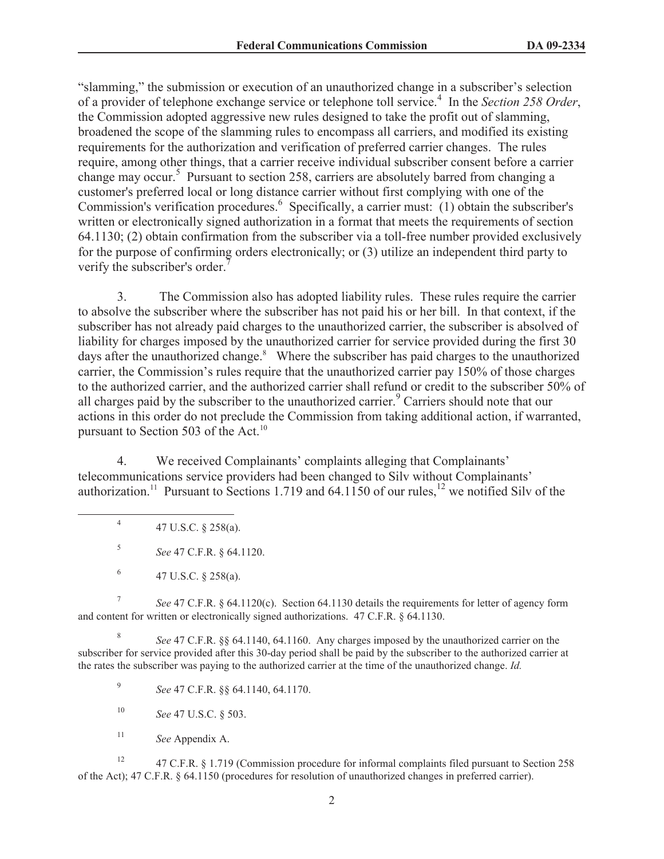"slamming," the submission or execution of an unauthorized change in a subscriber's selection of a provider of telephone exchange service or telephone toll service.<sup>4</sup> In the *Section 258 Order*, the Commission adopted aggressive new rules designed to take the profit out of slamming, broadened the scope of the slamming rules to encompass all carriers, and modified its existing requirements for the authorization and verification of preferred carrier changes. The rules require, among other things, that a carrier receive individual subscriber consent before a carrier change may occur.<sup>5</sup> Pursuant to section 258, carriers are absolutely barred from changing a customer's preferred local or long distance carrier without first complying with one of the Commission's verification procedures.<sup>6</sup> Specifically, a carrier must: (1) obtain the subscriber's written or electronically signed authorization in a format that meets the requirements of section 64.1130; (2) obtain confirmation from the subscriber via a toll-free number provided exclusively for the purpose of confirming orders electronically; or (3) utilize an independent third party to verify the subscriber's order.

3. The Commission also has adopted liability rules. These rules require the carrier to absolve the subscriber where the subscriber has not paid his or her bill. In that context, if the subscriber has not already paid charges to the unauthorized carrier, the subscriber is absolved of liability for charges imposed by the unauthorized carrier for service provided during the first 30 days after the unauthorized change.<sup>8</sup> Where the subscriber has paid charges to the unauthorized carrier, the Commission's rules require that the unauthorized carrier pay 150% of those charges to the authorized carrier, and the authorized carrier shall refund or credit to the subscriber 50% of all charges paid by the subscriber to the unauthorized carrier.<sup>9</sup> Carriers should note that our actions in this order do not preclude the Commission from taking additional action, if warranted, pursuant to Section 503 of the Act.<sup>10</sup>

4. We received Complainants' complaints alleging that Complainants' telecommunications service providers had been changed to Silv without Complainants' authorization.<sup>11</sup> Pursuant to Sections 1.719 and 64.1150 of our rules,<sup>12</sup> we notified Silv of the

4 47 U.S.C. § 258(a).

5 *See* 47 C.F.R. § 64.1120.

6 47 U.S.C. § 258(a).

7 *See* 47 C.F.R. § 64.1120(c). Section 64.1130 details the requirements for letter of agency form and content for written or electronically signed authorizations. 47 C.F.R. § 64.1130.

8 *See* 47 C.F.R. §§ 64.1140, 64.1160. Any charges imposed by the unauthorized carrier on the subscriber for service provided after this 30-day period shall be paid by the subscriber to the authorized carrier at the rates the subscriber was paying to the authorized carrier at the time of the unauthorized change. *Id.*

9 *See* 47 C.F.R. §§ 64.1140, 64.1170.

<sup>10</sup> *See* 47 U.S.C. § 503.

<sup>11</sup> *See* Appendix A.

<sup>12</sup> 47 C.F.R. § 1.719 (Commission procedure for informal complaints filed pursuant to Section 258 of the Act); 47 C.F.R. § 64.1150 (procedures for resolution of unauthorized changes in preferred carrier).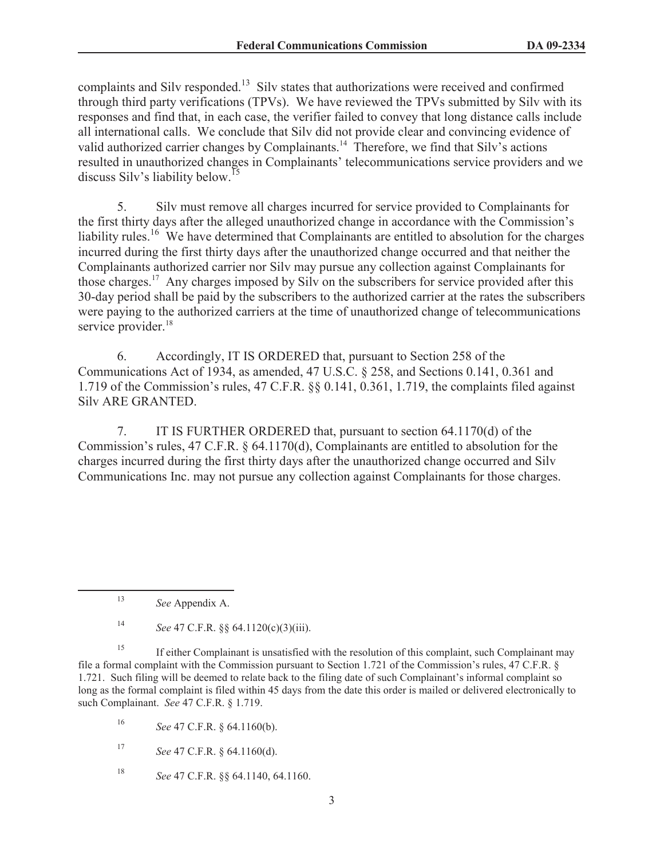complaints and Silv responded.<sup>13</sup> Silv states that authorizations were received and confirmed through third party verifications (TPVs). We have reviewed the TPVs submitted by Silv with its responses and find that, in each case, the verifier failed to convey that long distance calls include all international calls. We conclude that Silv did not provide clear and convincing evidence of valid authorized carrier changes by Complainants.<sup>14</sup> Therefore, we find that Silv's actions resulted in unauthorized changes in Complainants' telecommunications service providers and we discuss Silv's liability below.<sup>15</sup>

5. Silv must remove all charges incurred for service provided to Complainants for the first thirty days after the alleged unauthorized change in accordance with the Commission's liability rules.<sup>16</sup> We have determined that Complainants are entitled to absolution for the charges incurred during the first thirty days after the unauthorized change occurred and that neither the Complainants authorized carrier nor Silv may pursue any collection against Complainants for those charges.<sup>17</sup> Any charges imposed by Silv on the subscribers for service provided after this 30-day period shall be paid by the subscribers to the authorized carrier at the rates the subscribers were paying to the authorized carriers at the time of unauthorized change of telecommunications service provider.<sup>18</sup>

6. Accordingly, IT IS ORDERED that, pursuant to Section 258 of the Communications Act of 1934, as amended, 47 U.S.C. § 258, and Sections 0.141, 0.361 and 1.719 of the Commission's rules, 47 C.F.R. §§ 0.141, 0.361, 1.719, the complaints filed against Silv ARE GRANTED.

7. IT IS FURTHER ORDERED that, pursuant to section 64.1170(d) of the Commission's rules, 47 C.F.R. § 64.1170(d), Complainants are entitled to absolution for the charges incurred during the first thirty days after the unauthorized change occurred and Silv Communications Inc. may not pursue any collection against Complainants for those charges.

<sup>13</sup> *See* Appendix A.

<sup>14</sup> *See* 47 C.F.R. §§ 64.1120(c)(3)(iii).

<sup>&</sup>lt;sup>15</sup> If either Complainant is unsatisfied with the resolution of this complaint, such Complainant may file a formal complaint with the Commission pursuant to Section 1.721 of the Commission's rules, 47 C.F.R. § 1.721. Such filing will be deemed to relate back to the filing date of such Complainant's informal complaint so long as the formal complaint is filed within 45 days from the date this order is mailed or delivered electronically to such Complainant. *See* 47 C.F.R. § 1.719.

<sup>16</sup> *See* 47 C.F.R. § 64.1160(b).

<sup>17</sup> *See* 47 C.F.R. § 64.1160(d).

<sup>18</sup> *See* 47 C.F.R. §§ 64.1140, 64.1160.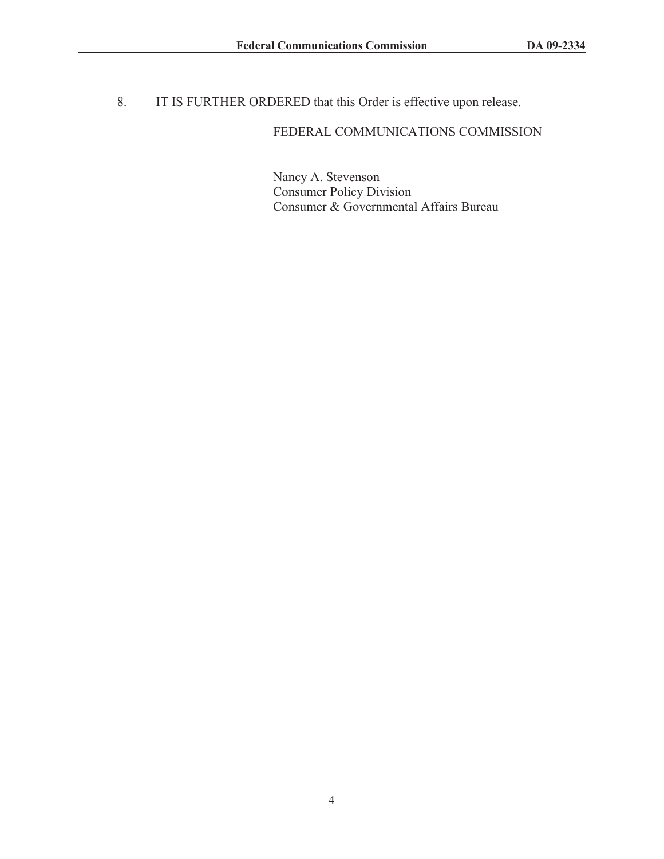8. IT IS FURTHER ORDERED that this Order is effective upon release.

# FEDERAL COMMUNICATIONS COMMISSION

Nancy A. Stevenson Consumer Policy Division Consumer & Governmental Affairs Bureau